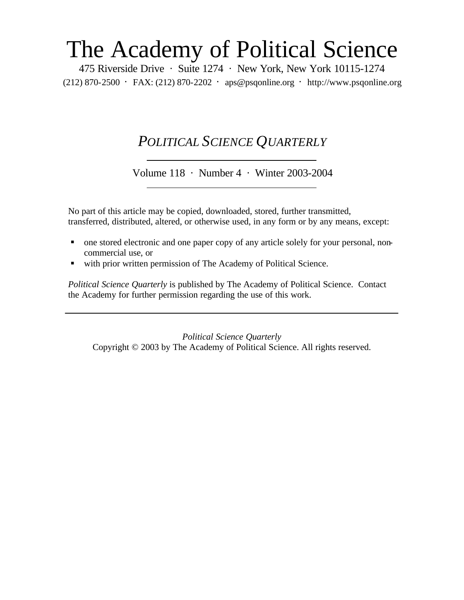# The Academy of Political Science

475 Riverside Drive · Suite 1274 · New York, New York 10115-1274 (212) 870-2500 · FAX: (212) 870-2202 · aps@psqonline.org · http://www.psqonline.org

# *POLITICAL SCIENCE QUARTERLY*

Volume 118 · Number 4 · Winter 2003-2004

No part of this article may be copied, downloaded, stored, further transmitted, transferred, distributed, altered, or otherwise used, in any form or by any means, except:

- one stored electronic and one paper copy of any article solely for your personal, noncommercial use, or
- with prior written permission of The Academy of Political Science.

*Political Science Quarterly* is published by The Academy of Political Science. Contact the Academy for further permission regarding the use of this work.

*Political Science Quarterly* Copyright © 2003 by The Academy of Political Science. All rights reserved.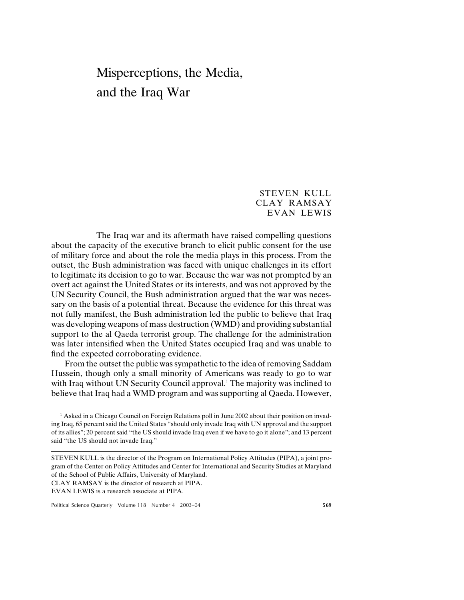# Misperceptions, the Media, and the Iraq War

# STEVEN KULL CLAY RAMSAY EVAN LEWIS

The Iraq war and its aftermath have raised compelling questions about the capacity of the executive branch to elicit public consent for the use of military force and about the role the media plays in this process. From the outset, the Bush administration was faced with unique challenges in its effort to legitimate its decision to go to war. Because the war was not prompted by an overt act against the United States or its interests, and was not approved by the UN Security Council, the Bush administration argued that the war was necessary on the basis of a potential threat. Because the evidence for this threat was not fully manifest, the Bush administration led the public to believe that Iraq was developing weapons of mass destruction (WMD) and providing substantial support to the al Qaeda terrorist group. The challenge for the administration was later intensified when the United States occupied Iraq and was unable to find the expected corroborating evidence.

From the outset the public was sympathetic to the idea of removing Saddam Hussein, though only a small minority of Americans was ready to go to war with Iraq without UN Security Council approval.<sup>1</sup> The majority was inclined to believe that Iraq had a WMD program and was supporting al Qaeda. However,

<sup>1</sup> Asked in a Chicago Council on Foreign Relations poll in June 2002 about their position on invading Iraq, 65 percent said the United States "should only invade Iraq with UN approval and the support of its allies"; 20 percent said "the US should invade Iraq even if we have to go it alone"; and 13 percent said "the US should not invade Iraq."

STEVEN KULL is the director of the Program on International Policy Attitudes (PIPA), a joint program of the Center on Policy Attitudes and Center for International and Security Studies at Maryland of the School of Public Affairs, University of Maryland.

CLAY RAMSAY is the director of research at PIPA.

EVAN LEWIS is a research associate at PIPA.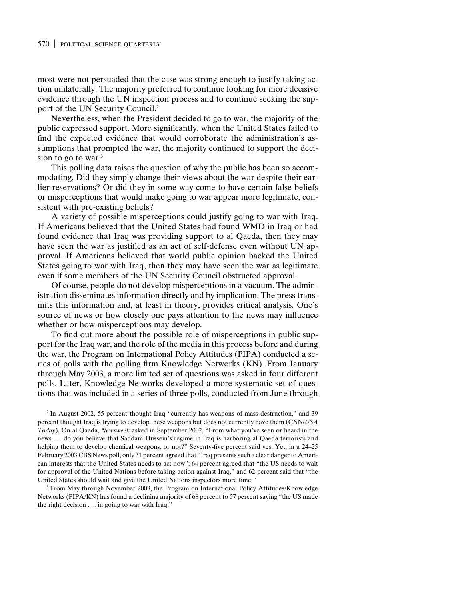#### 570 | political science quarterly

most were not persuaded that the case was strong enough to justify taking action unilaterally. The majority preferred to continue looking for more decisive evidence through the UN inspection process and to continue seeking the support of the UN Security Council.<sup>2</sup>

Nevertheless, when the President decided to go to war, the majority of the public expressed support. More significantly, when the United States failed to find the expected evidence that would corroborate the administration's assumptions that prompted the war, the majority continued to support the decision to go to war. $3$ 

This polling data raises the question of why the public has been so accommodating. Did they simply change their views about the war despite their earlier reservations? Or did they in some way come to have certain false beliefs or misperceptions that would make going to war appear more legitimate, consistent with pre-existing beliefs?

A variety of possible misperceptions could justify going to war with Iraq. If Americans believed that the United States had found WMD in Iraq or had found evidence that Iraq was providing support to al Qaeda, then they may have seen the war as justified as an act of self-defense even without UN approval. If Americans believed that world public opinion backed the United States going to war with Iraq, then they may have seen the war as legitimate even if some members of the UN Security Council obstructed approval.

Of course, people do not develop misperceptions in a vacuum. The administration disseminates information directly and by implication. The press transmits this information and, at least in theory, provides critical analysis. One's source of news or how closely one pays attention to the news may influence whether or how misperceptions may develop.

To find out more about the possible role of misperceptions in public support for the Iraq war, and the role of the media in this process before and during the war, the Program on International Policy Attitudes (PIPA) conducted a series of polls with the polling firm Knowledge Networks (KN). From January through May 2003, a more limited set of questions was asked in four different polls. Later, Knowledge Networks developed a more systematic set of questions that was included in a series of three polls, conducted from June through

<sup>2</sup> In August 2002, 55 percent thought Iraq "currently has weapons of mass destruction," and 39 percent thought Iraq is trying to develop these weapons but does not currently have them (CNN/*USA Today*). On al Qaeda, *Newsweek* asked in September 2002, "From what you've seen or heard in the news . . . do you believe that Saddam Hussein's regime in Iraq is harboring al Qaeda terrorists and helping them to develop chemical weapons, or not?" Seventy-five percent said yes. Yet, in a 24–25 February 2003 CBS News poll, only 31 percent agreed that "Iraq presents such a clear danger to American interests that the United States needs to act now"; 64 percent agreed that "the US needs to wait for approval of the United Nations before taking action against Iraq," and 62 percent said that "the United States should wait and give the United Nations inspectors more time."

<sup>3</sup> From May through November 2003, the Program on International Policy Attitudes/Knowledge Networks (PIPA/KN) has found a declining majority of 68 percent to 57 percent saying "the US made the right decision . . . in going to war with Iraq."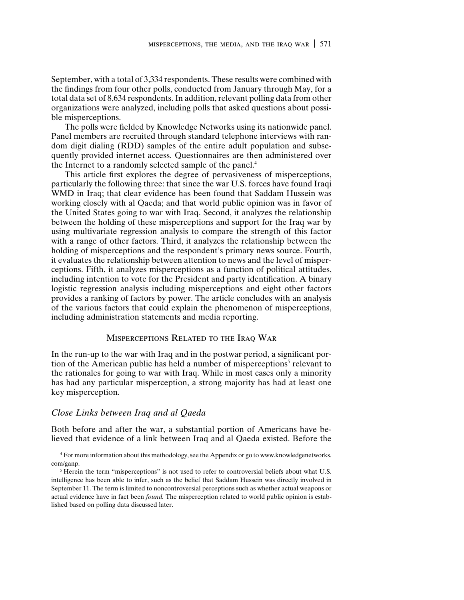September, with a total of 3,334 respondents. These results were combined with the findings from four other polls, conducted from January through May, for a total data set of 8,634 respondents. In addition, relevant polling data from other organizations were analyzed, including polls that asked questions about possible misperceptions.

The polls were fielded by Knowledge Networks using its nationwide panel. Panel members are recruited through standard telephone interviews with random digit dialing (RDD) samples of the entire adult population and subsequently provided internet access. Questionnaires are then administered over the Internet to a randomly selected sample of the panel.<sup>4</sup>

This article first explores the degree of pervasiveness of misperceptions, particularly the following three: that since the war U.S. forces have found Iraqi WMD in Iraq; that clear evidence has been found that Saddam Hussein was working closely with al Qaeda; and that world public opinion was in favor of the United States going to war with Iraq. Second, it analyzes the relationship between the holding of these misperceptions and support for the Iraq war by using multivariate regression analysis to compare the strength of this factor with a range of other factors. Third, it analyzes the relationship between the holding of misperceptions and the respondent's primary news source. Fourth, it evaluates the relationship between attention to news and the level of misperceptions. Fifth, it analyzes misperceptions as a function of political attitudes, including intention to vote for the President and party identification. A binary logistic regression analysis including misperceptions and eight other factors provides a ranking of factors by power. The article concludes with an analysis of the various factors that could explain the phenomenon of misperceptions, including administration statements and media reporting.

### Misperceptions Related to the Iraq War

In the run-up to the war with Iraq and in the postwar period, a significant portion of the American public has held a number of misperceptions<sup>5</sup> relevant to the rationales for going to war with Iraq. While in most cases only a minority has had any particular misperception, a strong majority has had at least one key misperception.

#### *Close Links between Iraq and al Qaeda*

Both before and after the war, a substantial portion of Americans have believed that evidence of a link between Iraq and al Qaeda existed. Before the

<sup>4</sup> For more information about this methodology, see the Appendix or go to www.knowledgenetworks. com/ganp.

<sup>&</sup>lt;sup>5</sup> Herein the term "misperceptions" is not used to refer to controversial beliefs about what U.S. intelligence has been able to infer, such as the belief that Saddam Hussein was directly involved in September 11. The term is limited to noncontroversial perceptions such as whether actual weapons or actual evidence have in fact been *found.* The misperception related to world public opinion is established based on polling data discussed later.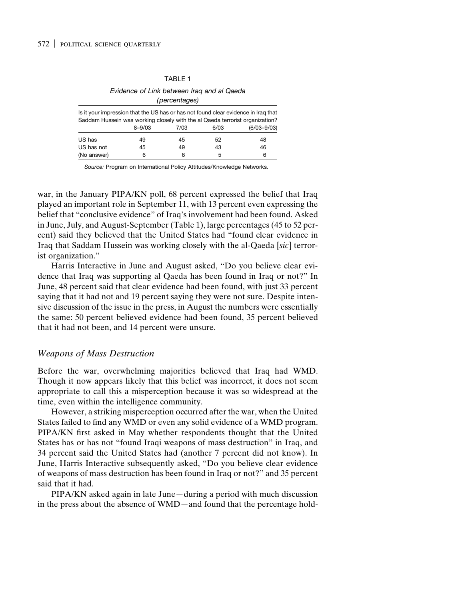#### TABLE 1

#### *Evidence of Link between Iraq and al Qaeda (percentages)*

| Is it your impression that the US has or has not found clear evidence in Iraq that<br>Saddam Hussein was working closely with the al Qaeda terrorist organization? |            |      |      |                 |  |  |  |  |
|--------------------------------------------------------------------------------------------------------------------------------------------------------------------|------------|------|------|-----------------|--|--|--|--|
|                                                                                                                                                                    | $8 - 9/03$ | 7/03 | 6/03 | $(6/03 - 9/03)$ |  |  |  |  |
| US has                                                                                                                                                             | 49         | 45   | 52   | 48              |  |  |  |  |
| US has not                                                                                                                                                         | 45         | 49   | 43   | 46              |  |  |  |  |
| (No answer)                                                                                                                                                        | 6          | ิค   | 5    | 6               |  |  |  |  |

*Source:* Program on International Policy Attitudes/Knowledge Networks.

war, in the January PIPA/KN poll, 68 percent expressed the belief that Iraq played an important role in September 11, with 13 percent even expressing the belief that "conclusive evidence" of Iraq's involvement had been found. Asked in June, July, and August-September (Table 1), large percentages (45 to 52 percent) said they believed that the United States had "found clear evidence in Iraq that Saddam Hussein was working closely with the al-Qaeda [*sic*] terrorist organization."

Harris Interactive in June and August asked, "Do you believe clear evidence that Iraq was supporting al Qaeda has been found in Iraq or not?" In June, 48 percent said that clear evidence had been found, with just 33 percent saying that it had not and 19 percent saying they were not sure. Despite intensive discussion of the issue in the press, in August the numbers were essentially the same: 50 percent believed evidence had been found, 35 percent believed that it had not been, and 14 percent were unsure.

## *Weapons of Mass Destruction*

Before the war, overwhelming majorities believed that Iraq had WMD. Though it now appears likely that this belief was incorrect, it does not seem appropriate to call this a misperception because it was so widespread at the time, even within the intelligence community.

However, a striking misperception occurred after the war, when the United States failed to find any WMD or even any solid evidence of a WMD program. PIPA/KN first asked in May whether respondents thought that the United States has or has not "found Iraqi weapons of mass destruction" in Iraq, and 34 percent said the United States had (another 7 percent did not know). In June, Harris Interactive subsequently asked, "Do you believe clear evidence of weapons of mass destruction has been found in Iraq or not?" and 35 percent said that it had.

PIPA/KN asked again in late June—during a period with much discussion in the press about the absence of WMD—and found that the percentage hold-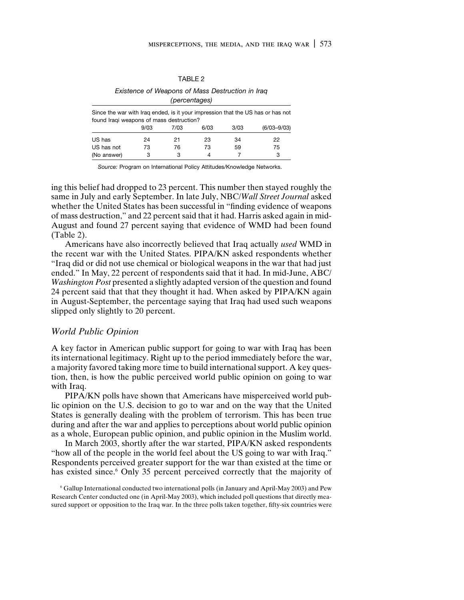#### TABLE<sub>2</sub>

#### *Existence of Weapons of Mass Destruction in Iraq (percentages)*

| Since the war with Iraq ended, is it your impression that the US has or has not<br>found Iragi weapons of mass destruction? |      |      |      |      |                 |
|-----------------------------------------------------------------------------------------------------------------------------|------|------|------|------|-----------------|
|                                                                                                                             | 9/03 | 7/03 | 6/03 | 3/03 | $(6/03 - 9/03)$ |
| US has                                                                                                                      | 24   | 21   | 23   | 34   | 22              |
| US has not                                                                                                                  | 73   | 76   | 73   | 59   | 75              |
| (No answer)                                                                                                                 |      | 3    | 4    |      | 3               |

*Source:* Program on International Policy Attitudes/Knowledge Networks.

ing this belief had dropped to 23 percent. This number then stayed roughly the same in July and early September. In late July, NBC/*Wall Street Journal* asked whether the United States has been successful in "finding evidence of weapons of mass destruction," and 22 percent said that it had. Harris asked again in mid-August and found 27 percent saying that evidence of WMD had been found (Table 2).

Americans have also incorrectly believed that Iraq actually *used* WMD in the recent war with the United States. PIPA/KN asked respondents whether "Iraq did or did not use chemical or biological weapons in the war that had just ended." In May, 22 percent of respondents said that it had. In mid-June, ABC/ *Washington Post* presented a slightly adapted version of the question and found 24 percent said that that they thought it had. When asked by PIPA/KN again in August-September, the percentage saying that Iraq had used such weapons slipped only slightly to 20 percent.

# *World Public Opinion*

A key factor in American public support for going to war with Iraq has been its international legitimacy. Right up to the period immediately before the war, a majority favored taking more time to build international support. A key question, then, is how the public perceived world public opinion on going to war with Iraq.

PIPA/KN polls have shown that Americans have misperceived world public opinion on the U.S. decision to go to war and on the way that the United States is generally dealing with the problem of terrorism. This has been true during and after the war and applies to perceptions about world public opinion as a whole, European public opinion, and public opinion in the Muslim world.

In March 2003, shortly after the war started, PIPA/KN asked respondents "how all of the people in the world feel about the US going to war with Iraq." Respondents perceived greater support for the war than existed at the time or has existed since.<sup>6</sup> Only 35 percent perceived correctly that the majority of

<sup>6</sup> Gallup International conducted two international polls (in January and April-May 2003) and Pew Research Center conducted one (in April-May 2003), which included poll questions that directly measured support or opposition to the Iraq war. In the three polls taken together, fifty-six countries were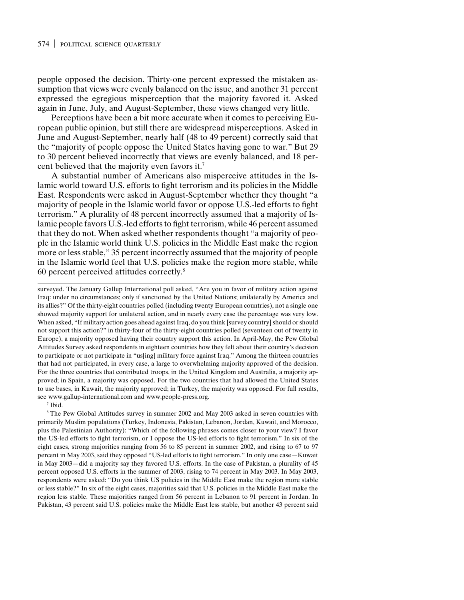# 574 | political science quarterly

people opposed the decision. Thirty-one percent expressed the mistaken assumption that views were evenly balanced on the issue, and another 31 percent expressed the egregious misperception that the majority favored it. Asked again in June, July, and August-September, these views changed very little.

Perceptions have been a bit more accurate when it comes to perceiving European public opinion, but still there are widespread misperceptions. Asked in June and August-September, nearly half (48 to 49 percent) correctly said that the "majority of people oppose the United States having gone to war." But 29 to 30 percent believed incorrectly that views are evenly balanced, and 18 percent believed that the majority even favors it.7

A substantial number of Americans also misperceive attitudes in the Islamic world toward U.S. efforts to fight terrorism and its policies in the Middle East. Respondents were asked in August-September whether they thought "a majority of people in the Islamic world favor or oppose U.S.-led efforts to fight terrorism." A plurality of 48 percent incorrectly assumed that a majority of Islamic people favors U.S.-led efforts to fight terrorism, while 46 percent assumed that they do not. When asked whether respondents thought "a majority of people in the Islamic world think U.S. policies in the Middle East make the region more or less stable," 35 percent incorrectly assumed that the majority of people in the Islamic world feel that U.S. policies make the region more stable, while 60 percent perceived attitudes correctly.8

surveyed. The January Gallup International poll asked, "Are you in favor of military action against Iraq: under no circumstances; only if sanctioned by the United Nations; unilaterally by America and its allies?" Of the thirty-eight countries polled (including twenty European countries), not a single one showed majority support for unilateral action, and in nearly every case the percentage was very low. When asked, "If military action goes ahead against Iraq, do you think [survey country] should or should not support this action?" in thirty-four of the thirty-eight countries polled (seventeen out of twenty in Europe), a majority opposed having their country support this action. In April-May, the Pew Global Attitudes Survey asked respondents in eighteen countries how they felt about their country's decision to participate or not participate in "us[ing] military force against Iraq." Among the thirteen countries that had not participated, in every case, a large to overwhelming majority approved of the decision. For the three countries that contributed troops, in the United Kingdom and Australia, a majority approved; in Spain, a majority was opposed. For the two countries that had allowed the United States to use bases, in Kuwait, the majority approved; in Turkey, the majority was opposed. For full results, see www.gallup-international.com and www.people-press.org.

<sup>7</sup> Ibid.

<sup>8</sup> The Pew Global Attitudes survey in summer 2002 and May 2003 asked in seven countries with primarily Muslim populations (Turkey, Indonesia, Pakistan, Lebanon, Jordan, Kuwait, and Morocco, plus the Palestinian Authority): "Which of the following phrases comes closer to your view? I favor the US-led efforts to fight terrorism, or I oppose the US-led efforts to fight terrorism." In six of the eight cases, strong majorities ranging from 56 to 85 percent in summer 2002, and rising to 67 to 97 percent in May 2003, said they opposed "US-led efforts to fight terrorism." In only one case—Kuwait in May 2003—did a majority say they favored U.S. efforts. In the case of Pakistan, a plurality of 45 percent opposed U.S. efforts in the summer of 2003, rising to 74 percent in May 2003. In May 2003, respondents were asked: "Do you think US policies in the Middle East make the region more stable or less stable?" In six of the eight cases, majorities said that U.S. policies in the Middle East make the region less stable. These majorities ranged from 56 percent in Lebanon to 91 percent in Jordan. In Pakistan, 43 percent said U.S. policies make the Middle East less stable, but another 43 percent said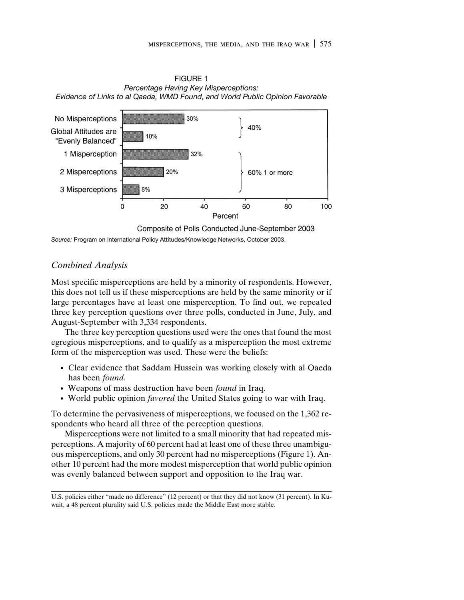FIGURE 1 *Percentage Having Key Misperceptions: Evidence of Links to al Qaeda, WMD Found, and World Public Opinion Favorable*



Composite of Polls Conducted June-September 2003

*Source:* Program on International Policy Attitudes/Knowledge Networks, October 2003.

# *Combined Analysis*

Most specific misperceptions are held by a minority of respondents. However, this does not tell us if these misperceptions are held by the same minority or if large percentages have at least one misperception. To find out, we repeated three key perception questions over three polls, conducted in June, July, and August-September with 3,334 respondents.

The three key perception questions used were the ones that found the most egregious misperceptions, and to qualify as a misperception the most extreme form of the misperception was used. These were the beliefs:

- Clear evidence that Saddam Hussein was working closely with al Qaeda has been *found.*
- Weapons of mass destruction have been *found* in Iraq.
- World public opinion *favored* the United States going to war with Iraq.

To determine the pervasiveness of misperceptions, we focused on the 1,362 respondents who heard all three of the perception questions.

Misperceptions were not limited to a small minority that had repeated misperceptions. A majority of 60 percent had at least one of these three unambiguous misperceptions, and only 30 percent had no misperceptions (Figure 1). Another 10 percent had the more modest misperception that world public opinion was evenly balanced between support and opposition to the Iraq war.

U.S. policies either "made no difference" (12 percent) or that they did not know (31 percent). In Kuwait, a 48 percent plurality said U.S. policies made the Middle East more stable.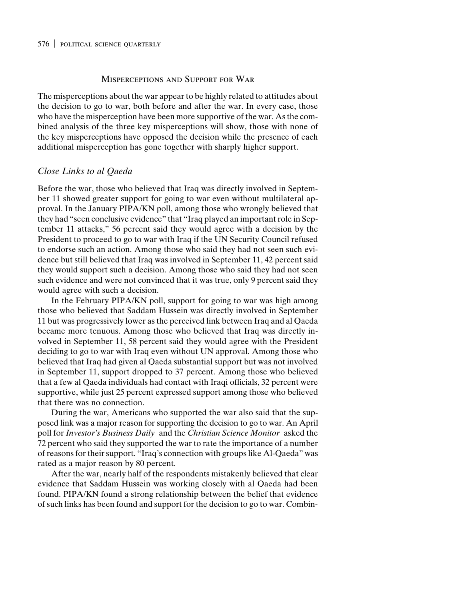#### 576 | political science quarterly

## Misperceptions and Support for War

The misperceptions about the war appear to be highly related to attitudes about the decision to go to war, both before and after the war. In every case, those who have the misperception have been more supportive of the war. As the combined analysis of the three key misperceptions will show, those with none of the key misperceptions have opposed the decision while the presence of each additional misperception has gone together with sharply higher support.

# *Close Links to al Qaeda*

Before the war, those who believed that Iraq was directly involved in September 11 showed greater support for going to war even without multilateral approval. In the January PIPA/KN poll, among those who wrongly believed that they had "seen conclusive evidence" that "Iraq played an important role in September 11 attacks," 56 percent said they would agree with a decision by the President to proceed to go to war with Iraq if the UN Security Council refused to endorse such an action. Among those who said they had not seen such evidence but still believed that Iraq was involved in September 11, 42 percent said they would support such a decision. Among those who said they had not seen such evidence and were not convinced that it was true, only 9 percent said they would agree with such a decision.

In the February PIPA/KN poll, support for going to war was high among those who believed that Saddam Hussein was directly involved in September 11 but was progressively lower as the perceived link between Iraq and al Qaeda became more tenuous. Among those who believed that Iraq was directly involved in September 11, 58 percent said they would agree with the President deciding to go to war with Iraq even without UN approval. Among those who believed that Iraq had given al Qaeda substantial support but was not involved in September 11, support dropped to 37 percent. Among those who believed that a few al Qaeda individuals had contact with Iraqi officials, 32 percent were supportive, while just 25 percent expressed support among those who believed that there was no connection.

During the war, Americans who supported the war also said that the supposed link was a major reason for supporting the decision to go to war. An April poll for *Investor's Business Daily* and the *Christian Science Monitor* asked the 72 percent who said they supported the war to rate the importance of a number of reasons for their support. "Iraq's connection with groups like Al-Qaeda" was rated as a major reason by 80 percent.

After the war, nearly half of the respondents mistakenly believed that clear evidence that Saddam Hussein was working closely with al Qaeda had been found. PIPA/KN found a strong relationship between the belief that evidence of such links has been found and support for the decision to go to war. Combin-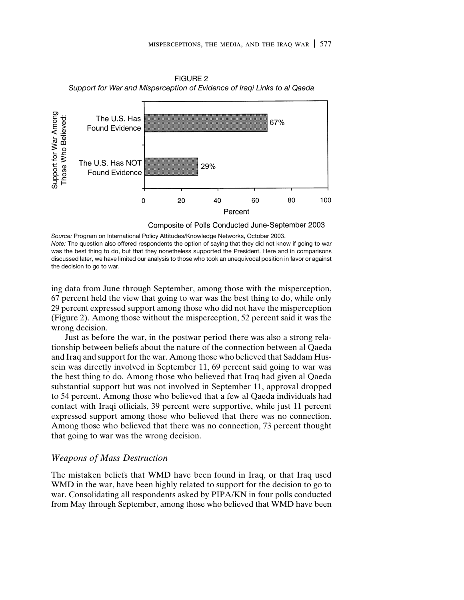FIGURE 2 *Support for War and Misperception of Evidence of Iraqi Links to al Qaeda*



Composite of Polls Conducted June-September 2003

*Source:* Program on International Policy Attitudes/Knowledge Networks, October 2003. *Note:* The question also offered respondents the option of saying that they did not know if going to war was the best thing to do, but that they nonetheless supported the President. Here and in comparisons discussed later, we have limited our analysis to those who took an unequivocal position in favor or against the decision to go to war.

ing data from June through September, among those with the misperception, 67 percent held the view that going to war was the best thing to do, while only 29 percent expressed support among those who did not have the misperception (Figure 2). Among those without the misperception, 52 percent said it was the wrong decision.

Just as before the war, in the postwar period there was also a strong relationship between beliefs about the nature of the connection between al Qaeda and Iraq and support for the war. Among those who believed that Saddam Hussein was directly involved in September 11, 69 percent said going to war was the best thing to do. Among those who believed that Iraq had given al Qaeda substantial support but was not involved in September 11, approval dropped to 54 percent. Among those who believed that a few al Qaeda individuals had contact with Iraqi officials, 39 percent were supportive, while just 11 percent expressed support among those who believed that there was no connection. Among those who believed that there was no connection, 73 percent thought that going to war was the wrong decision.

# *Weapons of Mass Destruction*

The mistaken beliefs that WMD have been found in Iraq, or that Iraq used WMD in the war, have been highly related to support for the decision to go to war. Consolidating all respondents asked by PIPA/KN in four polls conducted from May through September, among those who believed that WMD have been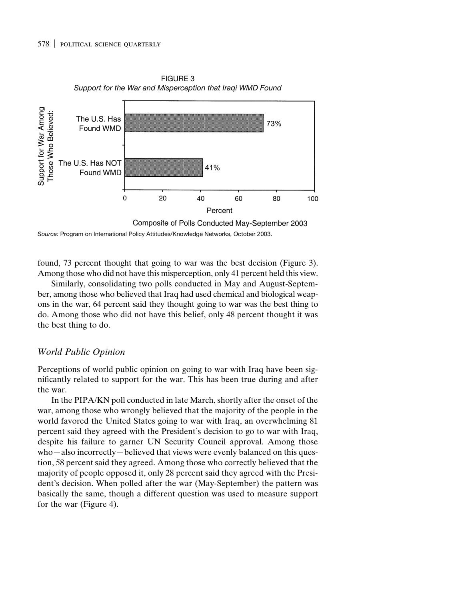

FIGURE 3 *Support for the War and Misperception that Iraqi WMD Found*

*Source:* Program on International Policy Attitudes/Knowledge Networks, October 2003.

found, 73 percent thought that going to war was the best decision (Figure 3). Among those who did not have this misperception, only 41 percent held this view.

Similarly, consolidating two polls conducted in May and August-September, among those who believed that Iraq had used chemical and biological weapons in the war, 64 percent said they thought going to war was the best thing to do. Among those who did not have this belief, only 48 percent thought it was the best thing to do.

# *World Public Opinion*

Perceptions of world public opinion on going to war with Iraq have been significantly related to support for the war. This has been true during and after the war.

In the PIPA/KN poll conducted in late March, shortly after the onset of the war, among those who wrongly believed that the majority of the people in the world favored the United States going to war with Iraq, an overwhelming 81 percent said they agreed with the President's decision to go to war with Iraq, despite his failure to garner UN Security Council approval. Among those who—also incorrectly—believed that views were evenly balanced on this question, 58 percent said they agreed. Among those who correctly believed that the majority of people opposed it, only 28 percent said they agreed with the President's decision. When polled after the war (May-September) the pattern was basically the same, though a different question was used to measure support for the war (Figure 4).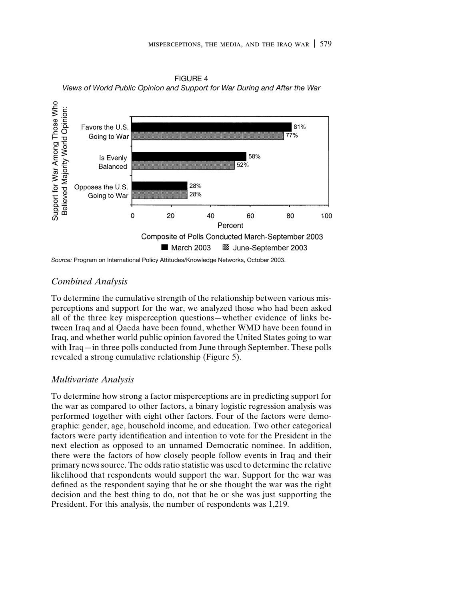FIGURE 4 *Views of World Public Opinion and Support for War During and After the War*



*Source:* Program on International Policy Attitudes/Knowledge Networks, October 2003.

# *Combined Analysis*

To determine the cumulative strength of the relationship between various misperceptions and support for the war, we analyzed those who had been asked all of the three key misperception questions—whether evidence of links between Iraq and al Qaeda have been found, whether WMD have been found in Iraq, and whether world public opinion favored the United States going to war with Iraq—in three polls conducted from June through September. These polls revealed a strong cumulative relationship (Figure 5).

# *Multivariate Analysis*

To determine how strong a factor misperceptions are in predicting support for the war as compared to other factors, a binary logistic regression analysis was performed together with eight other factors. Four of the factors were demographic: gender, age, household income, and education. Two other categorical factors were party identification and intention to vote for the President in the next election as opposed to an unnamed Democratic nominee. In addition, there were the factors of how closely people follow events in Iraq and their primary news source. The odds ratio statistic was used to determine the relative likelihood that respondents would support the war. Support for the war was defined as the respondent saying that he or she thought the war was the right decision and the best thing to do, not that he or she was just supporting the President. For this analysis, the number of respondents was 1,219.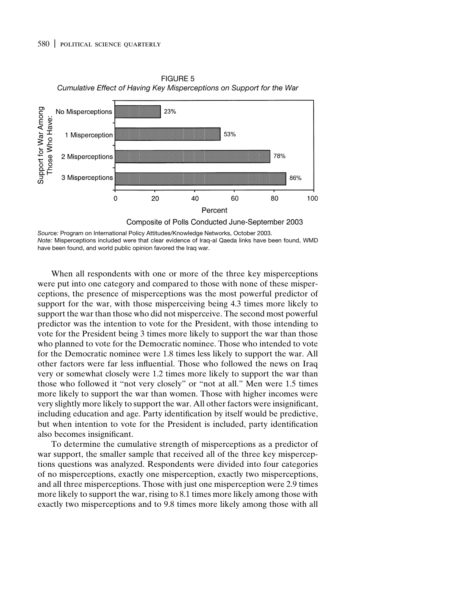

FIGURE 5 *Cumulative Effect of Having Key Misperceptions on Support for the War*

*Source:* Program on International Policy Attitudes/Knowledge Networks, October 2003. *Note:* Misperceptions included were that clear evidence of Iraq-al Qaeda links have been found, WMD have been found, and world public opinion favored the Iraq war.

When all respondents with one or more of the three key misperceptions were put into one category and compared to those with none of these misperceptions, the presence of misperceptions was the most powerful predictor of support for the war, with those misperceiving being 4.3 times more likely to support the war than those who did not misperceive. The second most powerful predictor was the intention to vote for the President, with those intending to vote for the President being 3 times more likely to support the war than those who planned to vote for the Democratic nominee. Those who intended to vote for the Democratic nominee were 1.8 times less likely to support the war. All other factors were far less influential. Those who followed the news on Iraq very or somewhat closely were 1.2 times more likely to support the war than those who followed it "not very closely" or "not at all." Men were 1.5 times more likely to support the war than women. Those with higher incomes were very slightly more likely to support the war. All other factors were insignificant, including education and age. Party identification by itself would be predictive, but when intention to vote for the President is included, party identification also becomes insignificant.

To determine the cumulative strength of misperceptions as a predictor of war support, the smaller sample that received all of the three key misperceptions questions was analyzed. Respondents were divided into four categories of no misperceptions, exactly one misperception, exactly two misperceptions, and all three misperceptions. Those with just one misperception were 2.9 times more likely to support the war, rising to 8.1 times more likely among those with exactly two misperceptions and to 9.8 times more likely among those with all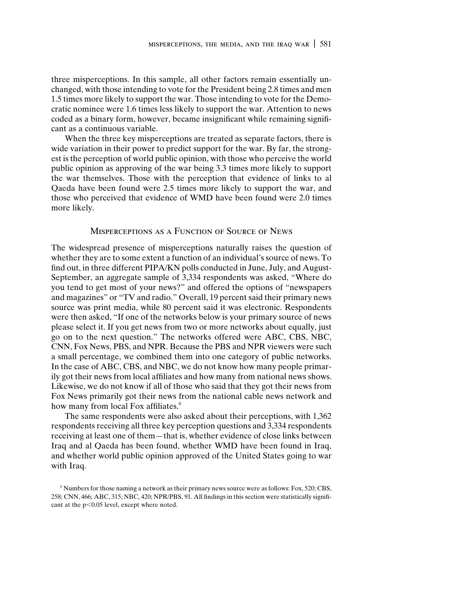three misperceptions. In this sample, all other factors remain essentially unchanged, with those intending to vote for the President being 2.8 times and men 1.5 times more likely to support the war. Those intending to vote for the Democratic nominee were 1.6 times less likely to support the war. Attention to news coded as a binary form, however, became insignificant while remaining significant as a continuous variable.

When the three key misperceptions are treated as separate factors, there is wide variation in their power to predict support for the war. By far, the strongest is the perception of world public opinion, with those who perceive the world public opinion as approving of the war being 3.3 times more likely to support the war themselves. Those with the perception that evidence of links to al Qaeda have been found were 2.5 times more likely to support the war, and those who perceived that evidence of WMD have been found were 2.0 times more likely.

# Misperceptions as a Function of Source of News

The widespread presence of misperceptions naturally raises the question of whether they are to some extent a function of an individual's source of news. To find out, in three different PIPA/KN polls conducted in June, July, and August-September, an aggregate sample of 3,334 respondents was asked, "Where do you tend to get most of your news?" and offered the options of "newspapers and magazines" or "TV and radio." Overall, 19 percent said their primary news source was print media, while 80 percent said it was electronic. Respondents were then asked, "If one of the networks below is your primary source of news please select it. If you get news from two or more networks about equally, just go on to the next question." The networks offered were ABC, CBS, NBC, CNN, Fox News, PBS, and NPR. Because the PBS and NPR viewers were such a small percentage, we combined them into one category of public networks. In the case of ABC, CBS, and NBC, we do not know how many people primarily got their news from local affiliates and how many from national news shows. Likewise, we do not know if all of those who said that they got their news from Fox News primarily got their news from the national cable news network and how many from local Fox affiliates.<sup>9</sup>

The same respondents were also asked about their perceptions, with 1,362 respondents receiving all three key perception questions and 3,334 respondents receiving at least one of them—that is, whether evidence of close links between Iraq and al Qaeda has been found, whether WMD have been found in Iraq, and whether world public opinion approved of the United States going to war with Iraq.

<sup>9</sup> Numbers for those naming a network as their primary news source were as follows: Fox, 520; CBS, 258; CNN, 466; ABC, 315; NBC, 420; NPR/PBS, 91. All findings in this section were statistically significant at the  $p<0.05$  level, except where noted.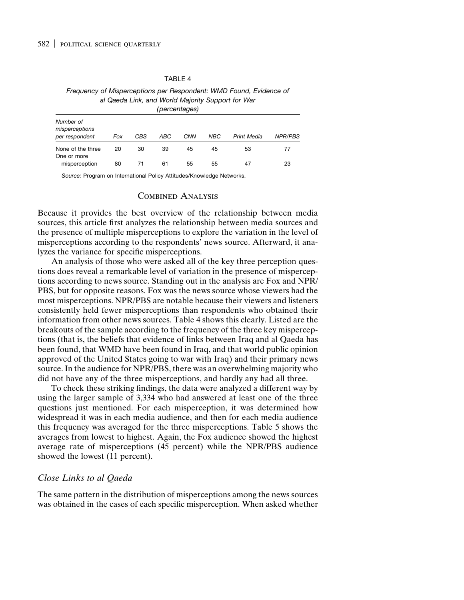#### TABLE 4

*Frequency of Misperceptions per Respondent: WMD Found, Evidence of al Qaeda Link, and World Majority Support for War (percentages)*

| Number of<br>misperceptions<br>per respondent | Fox | CBS | ABC | <b>CNN</b> | <b>NBC</b> | Print Media | NPR/PBS |
|-----------------------------------------------|-----|-----|-----|------------|------------|-------------|---------|
| None of the three<br>One or more              | 20  | 30  | 39  | 45         | 45         | 53          | 77      |
| misperception                                 | 80  |     | 61  | 55         | 55         | 47          | 23      |

*Source:* Program on International Policy Attitudes/Knowledge Networks.

#### Combined Analysis

Because it provides the best overview of the relationship between media sources, this article first analyzes the relationship between media sources and the presence of multiple misperceptions to explore the variation in the level of misperceptions according to the respondents' news source. Afterward, it analyzes the variance for specific misperceptions.

An analysis of those who were asked all of the key three perception questions does reveal a remarkable level of variation in the presence of misperceptions according to news source. Standing out in the analysis are Fox and NPR/ PBS, but for opposite reasons. Fox was the news source whose viewers had the most misperceptions. NPR/PBS are notable because their viewers and listeners consistently held fewer misperceptions than respondents who obtained their information from other news sources. Table 4 shows this clearly. Listed are the breakouts of the sample according to the frequency of the three key misperceptions (that is, the beliefs that evidence of links between Iraq and al Qaeda has been found, that WMD have been found in Iraq, and that world public opinion approved of the United States going to war with Iraq) and their primary news source. In the audience for NPR/PBS, there was an overwhelming majority who did not have any of the three misperceptions, and hardly any had all three.

To check these striking findings, the data were analyzed a different way by using the larger sample of 3,334 who had answered at least one of the three questions just mentioned. For each misperception, it was determined how widespread it was in each media audience, and then for each media audience this frequency was averaged for the three misperceptions. Table 5 shows the averages from lowest to highest. Again, the Fox audience showed the highest average rate of misperceptions (45 percent) while the NPR/PBS audience showed the lowest (11 percent).

### *Close Links to al Qaeda*

The same pattern in the distribution of misperceptions among the news sources was obtained in the cases of each specific misperception. When asked whether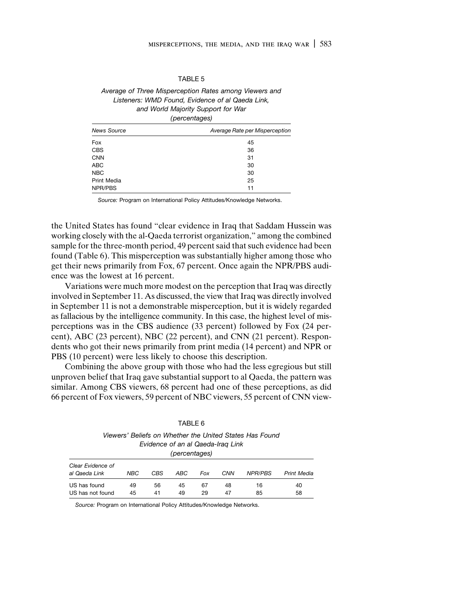| .BL |  |
|-----|--|
|-----|--|

*Average of Three Misperception Rates among Viewers and Listeners: WMD Found, Evidence of al Qaeda Link, and World Majority Support for War (percentages)*

| News Source | Average Rate per Misperception |  |  |
|-------------|--------------------------------|--|--|
| Fox         | 45                             |  |  |
| <b>CBS</b>  | 36                             |  |  |
| <b>CNN</b>  | 31                             |  |  |
| <b>ABC</b>  | 30                             |  |  |
| <b>NBC</b>  | 30                             |  |  |
| Print Media | 25                             |  |  |
| NPR/PBS     | 11                             |  |  |

*Source:* Program on International Policy Attitudes/Knowledge Networks.

the United States has found "clear evidence in Iraq that Saddam Hussein was working closely with the al-Qaeda terrorist organization," among the combined sample for the three-month period, 49 percent said that such evidence had been found (Table 6). This misperception was substantially higher among those who get their news primarily from Fox, 67 percent. Once again the NPR/PBS audience was the lowest at 16 percent.

Variations were much more modest on the perception that Iraq was directly involved in September 11. As discussed, the view that Iraq was directly involved in September 11 is not a demonstrable misperception, but it is widely regarded as fallacious by the intelligence community. In this case, the highest level of misperceptions was in the CBS audience (33 percent) followed by Fox (24 percent), ABC (23 percent), NBC (22 percent), and CNN (21 percent). Respondents who got their news primarily from print media (14 percent) and NPR or PBS (10 percent) were less likely to choose this description.

Combining the above group with those who had the less egregious but still unproven belief that Iraq gave substantial support to al Qaeda, the pattern was similar. Among CBS viewers, 68 percent had one of these perceptions, as did 66 percent of Fox viewers, 59 percent of NBC viewers, 55 percent of CNN view-

|                   |     |     | .             |     |                                   |                                                         |                    |
|-------------------|-----|-----|---------------|-----|-----------------------------------|---------------------------------------------------------|--------------------|
|                   |     |     |               |     | Evidence of an al Qaeda-Irag Link | Viewers' Beliefs on Whether the United States Has Found |                    |
|                   |     |     | (percentages) |     |                                   |                                                         |                    |
| Clear Evidence of |     |     |               |     |                                   |                                                         |                    |
| al Qaeda Link     | NBC | CBS | ABC           | Fox | <b>CNN</b>                        | NPR/PBS                                                 | <b>Print Media</b> |
| US has found      | 49  | 56  | 45            | 67  | 48                                | 16                                                      | 40                 |
| US has not found  | 45  | 41  | 49            | 29  | 47                                | 85                                                      | 58                 |

TABLE 6

*Source:* Program on International Policy Attitudes/Knowledge Networks.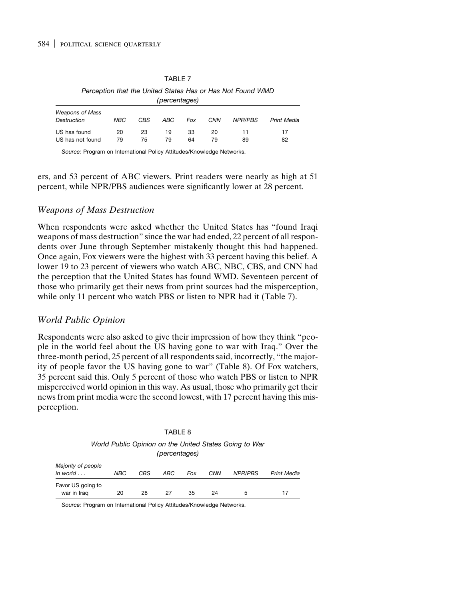#### TABLE 7

*Perception that the United States Has or Has Not Found WMD (percentages)*

| <b>Weapons of Mass</b> |     |     |     |     |            |                |                    |
|------------------------|-----|-----|-----|-----|------------|----------------|--------------------|
| Destruction            | NBC | CBS | ABC | Fox | <b>CNN</b> | <b>NPR/PBS</b> | <b>Print Media</b> |
| US has found           | 20  | 23  | 19  | 33  | 20         |                | 17                 |
|                        |     |     |     |     |            |                |                    |
| US has not found       | 79  | 75  | 79  | 64  | 79         | 89             | 82                 |

*Source:* Program on International Policy Attitudes/Knowledge Networks.

ers, and 53 percent of ABC viewers. Print readers were nearly as high at 51 percent, while NPR/PBS audiences were significantly lower at 28 percent.

# *Weapons of Mass Destruction*

When respondents were asked whether the United States has "found Iraqi weapons of mass destruction" since the war had ended, 22 percent of all respondents over June through September mistakenly thought this had happened. Once again, Fox viewers were the highest with 33 percent having this belief. A lower 19 to 23 percent of viewers who watch ABC, NBC, CBS, and CNN had the perception that the United States has found WMD. Seventeen percent of those who primarily get their news from print sources had the misperception, while only 11 percent who watch PBS or listen to NPR had it (Table 7).

# *World Public Opinion*

Respondents were also asked to give their impression of how they think "people in the world feel about the US having gone to war with Iraq." Over the three-month period, 25 percent of all respondents said, incorrectly, "the majority of people favor the US having gone to war" (Table 8). Of Fox watchers, 35 percent said this. Only 5 percent of those who watch PBS or listen to NPR misperceived world opinion in this way. As usual, those who primarily get their news from print media were the second lowest, with 17 percent having this misperception.

| World Public Opinion on the United States Going to War<br>(percentages) |            |     |     |     |            |         |                    |
|-------------------------------------------------------------------------|------------|-----|-----|-----|------------|---------|--------------------|
| Majority of people<br>in world $\ldots$                                 | <b>NBC</b> | CBS | ABC | Fox | <b>CNN</b> | NPR/PBS | <b>Print Media</b> |
| Favor US going to<br>war in Iraq                                        | 20         | 28  | 27  | 35  | 24         | 5       | 17                 |

TABLE 8

*Source:* Program on International Policy Attitudes/Knowledge Networks.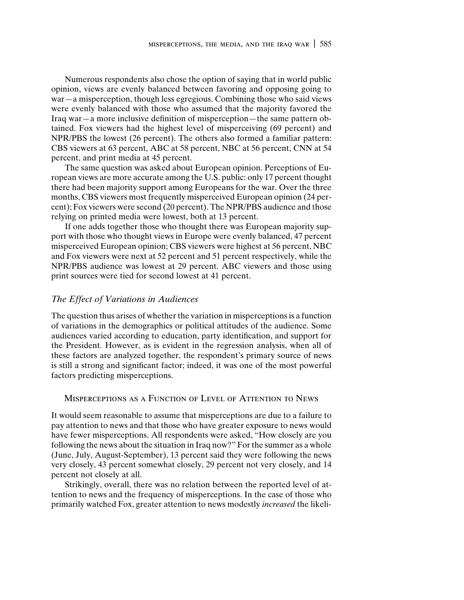Numerous respondents also chose the option of saying that in world public opinion, views are evenly balanced between favoring and opposing going to war—a misperception, though less egregious. Combining those who said views were evenly balanced with those who assumed that the majority favored the Iraq war—a more inclusive definition of misperception—the same pattern obtained. Fox viewers had the highest level of misperceiving (69 percent) and NPR/PBS the lowest (26 percent). The others also formed a familiar pattern: CBS viewers at 63 percent, ABC at 58 percent, NBC at 56 percent, CNN at 54 percent, and print media at 45 percent.

The same question was asked about European opinion. Perceptions of European views are more accurate among the U.S. public: only 17 percent thought there had been majority support among Europeans for the war. Over the three months, CBS viewers most frequently misperceived European opinion (24 percent); Fox viewers were second (20 percent). The NPR/PBS audience and those relying on printed media were lowest, both at 13 percent.

If one adds together those who thought there was European majority support with those who thought views in Europe were evenly balanced, 47 percent misperceived European opinion; CBS viewers were highest at 56 percent, NBC and Fox viewers were next at 52 percent and 51 percent respectively, while the NPR/PBS audience was lowest at 29 percent. ABC viewers and those using print sources were tied for second lowest at 41 percent.

#### *The Effect of Variations in Audiences*

The question thus arises of whether the variation in misperceptions is a function of variations in the demographics or political attitudes of the audience. Some audiences varied according to education, party identification, and support for the President. However, as is evident in the regression analysis, when all of these factors are analyzed together, the respondent's primary source of news is still a strong and significant factor; indeed, it was one of the most powerful factors predicting misperceptions.

# Misperceptions as a Function of Level of Attention to News

It would seem reasonable to assume that misperceptions are due to a failure to pay attention to news and that those who have greater exposure to news would have fewer misperceptions. All respondents were asked, "How closely are you following the news about the situation in Iraq now?" For the summer as a whole (June, July, August-September), 13 percent said they were following the news very closely, 43 percent somewhat closely, 29 percent not very closely, and 14 percent not closely at all.

Strikingly, overall, there was no relation between the reported level of attention to news and the frequency of misperceptions. In the case of those who primarily watched Fox, greater attention to news modestly *increased* the likeli-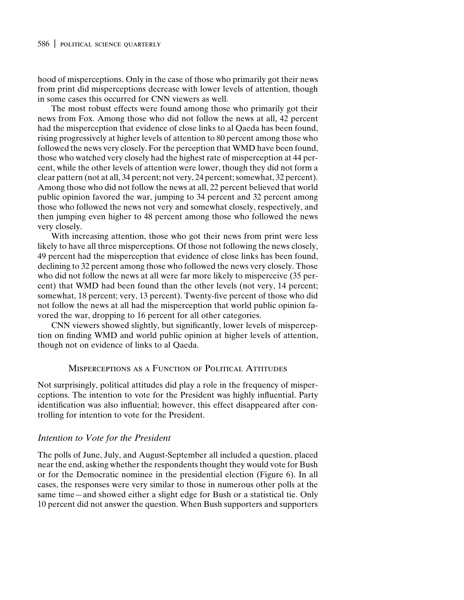hood of misperceptions. Only in the case of those who primarily got their news from print did misperceptions decrease with lower levels of attention, though in some cases this occurred for CNN viewers as well.

The most robust effects were found among those who primarily got their news from Fox. Among those who did not follow the news at all, 42 percent had the misperception that evidence of close links to al Qaeda has been found, rising progressively at higher levels of attention to 80 percent among those who followed the news very closely. For the perception that WMD have been found, those who watched very closely had the highest rate of misperception at 44 percent, while the other levels of attention were lower, though they did not form a clear pattern (not at all, 34 percent; not very, 24 percent; somewhat, 32 percent). Among those who did not follow the news at all, 22 percent believed that world public opinion favored the war, jumping to 34 percent and 32 percent among those who followed the news not very and somewhat closely, respectively, and then jumping even higher to 48 percent among those who followed the news very closely.

With increasing attention, those who got their news from print were less likely to have all three misperceptions. Of those not following the news closely, 49 percent had the misperception that evidence of close links has been found, declining to 32 percent among those who followed the news very closely. Those who did not follow the news at all were far more likely to misperceive (35 percent) that WMD had been found than the other levels (not very, 14 percent; somewhat, 18 percent; very, 13 percent). Twenty-five percent of those who did not follow the news at all had the misperception that world public opinion favored the war, dropping to 16 percent for all other categories.

CNN viewers showed slightly, but significantly, lower levels of misperception on finding WMD and world public opinion at higher levels of attention, though not on evidence of links to al Qaeda.

# Misperceptions as a Function of Political Attitudes

Not surprisingly, political attitudes did play a role in the frequency of misperceptions. The intention to vote for the President was highly influential. Party identification was also influential; however, this effect disappeared after controlling for intention to vote for the President.

# *Intention to Vote for the President*

The polls of June, July, and August-September all included a question, placed near the end, asking whether the respondents thought they would vote for Bush or for the Democratic nominee in the presidential election (Figure 6). In all cases, the responses were very similar to those in numerous other polls at the same time—and showed either a slight edge for Bush or a statistical tie. Only 10 percent did not answer the question. When Bush supporters and supporters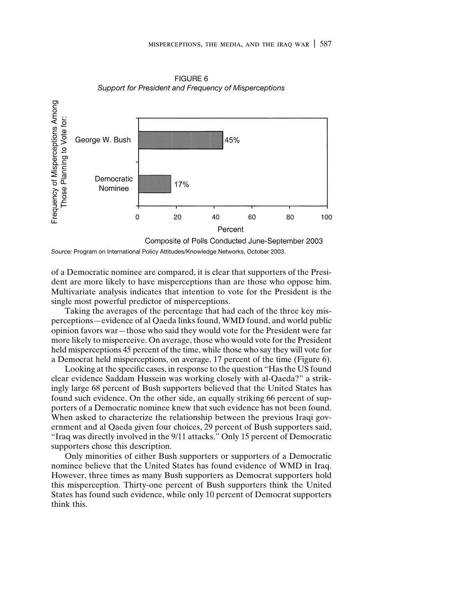

FIGURE 6 *Support for President and Frequency of Misperceptions*

*Source:* Program on International Policy Attitudes/Knowledge Networks, October 2003.

of a Democratic nominee are compared, it is clear that supporters of the President are more likely to have misperceptions than are those who oppose him. Multivariate analysis indicates that intention to vote for the President is the single most powerful predictor of misperceptions.

Taking the averages of the percentage that had each of the three key misperceptions—evidence of al Qaeda links found, WMD found, and world public opinion favors war—those who said they would vote for the President were far more likely to misperceive. On average, those who would vote for the President held misperceptions 45 percent of the time, while those who say they will vote for a Democrat held misperceptions, on average, 17 percent of the time (Figure 6).

Looking at the specific cases, in response to the question "Has the US found clear evidence Saddam Hussein was working closely with al-Qaeda?" a strikingly large 68 percent of Bush supporters believed that the United States has found such evidence. On the other side, an equally striking 66 percent of supporters of a Democratic nominee knew that such evidence has not been found. When asked to characterize the relationship between the previous Iraqi government and al Qaeda given four choices, 29 percent of Bush supporters said, "Iraq was directly involved in the 9/11 attacks." Only 15 percent of Democratic supporters chose this description.

Only minorities of either Bush supporters or supporters of a Democratic nominee believe that the United States has found evidence of WMD in Iraq. However, three times as many Bush supporters as Democrat supporters hold this misperception. Thirty-one percent of Bush supporters think the United States has found such evidence, while only 10 percent of Democrat supporters think this.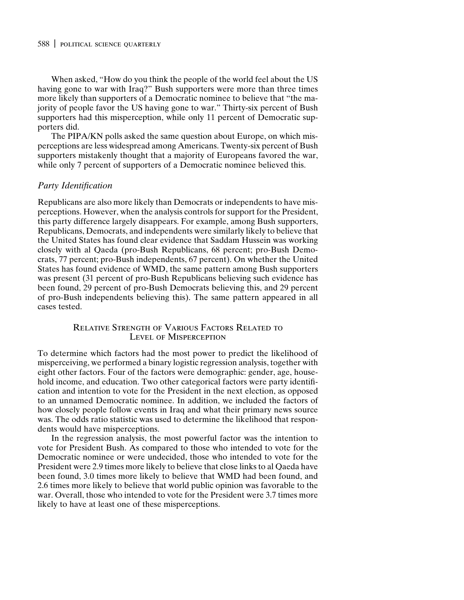When asked, "How do you think the people of the world feel about the US having gone to war with Iraq?" Bush supporters were more than three times more likely than supporters of a Democratic nominee to believe that "the majority of people favor the US having gone to war." Thirty-six percent of Bush supporters had this misperception, while only 11 percent of Democratic supporters did.

The PIPA/KN polls asked the same question about Europe, on which misperceptions are less widespread among Americans. Twenty-six percent of Bush supporters mistakenly thought that a majority of Europeans favored the war, while only 7 percent of supporters of a Democratic nominee believed this.

#### *Party Identification*

Republicans are also more likely than Democrats or independents to have misperceptions. However, when the analysis controls for support for the President, this party difference largely disappears. For example, among Bush supporters, Republicans, Democrats, and independents were similarly likely to believe that the United States has found clear evidence that Saddam Hussein was working closely with al Qaeda (pro-Bush Republicans, 68 percent; pro-Bush Democrats, 77 percent; pro-Bush independents, 67 percent). On whether the United States has found evidence of WMD, the same pattern among Bush supporters was present (31 percent of pro-Bush Republicans believing such evidence has been found, 29 percent of pro-Bush Democrats believing this, and 29 percent of pro-Bush independents believing this). The same pattern appeared in all cases tested.

# Relative Strength of Various Factors Related to Level of Misperception

To determine which factors had the most power to predict the likelihood of misperceiving, we performed a binary logistic regression analysis, together with eight other factors. Four of the factors were demographic: gender, age, household income, and education. Two other categorical factors were party identification and intention to vote for the President in the next election, as opposed to an unnamed Democratic nominee. In addition, we included the factors of how closely people follow events in Iraq and what their primary news source was. The odds ratio statistic was used to determine the likelihood that respondents would have misperceptions.

In the regression analysis, the most powerful factor was the intention to vote for President Bush. As compared to those who intended to vote for the Democratic nominee or were undecided, those who intended to vote for the President were 2.9 times more likely to believe that close links to al Qaeda have been found, 3.0 times more likely to believe that WMD had been found, and 2.6 times more likely to believe that world public opinion was favorable to the war. Overall, those who intended to vote for the President were 3.7 times more likely to have at least one of these misperceptions.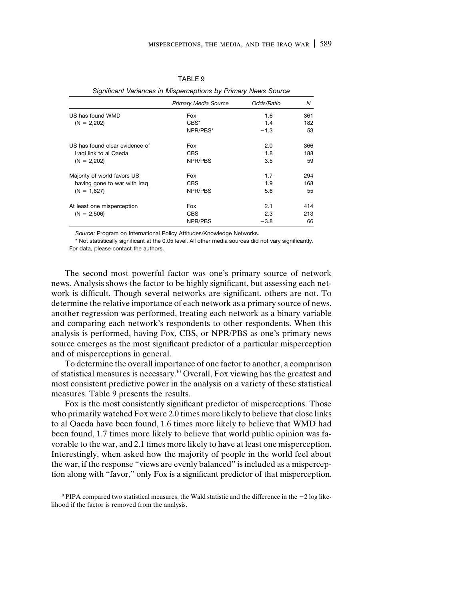|                                | <b>Primary Media Source</b> | Odds/Ratio | N   |
|--------------------------------|-----------------------------|------------|-----|
| US has found WMD               | Fox                         | 1.6        | 361 |
| $(N = 2,202)$                  | $CBS^*$                     | 1.4        | 182 |
|                                | NPR/PBS*                    | $-1.3$     | 53  |
| US has found clear evidence of | Fox                         | 2.0        | 366 |
| Iragi link to al Qaeda         | <b>CBS</b>                  | 1.8        | 188 |
| $(N = 2,202)$                  | NPR/PBS                     | $-3.5$     | 59  |
| Majority of world favors US    | Fox                         | 1.7        | 294 |
| having gone to war with Irag   | <b>CBS</b>                  | 1.9        | 168 |
| $(N = 1,827)$                  | NPR/PBS                     | $-5.6$     | 55  |
| At least one misperception     | Fox                         | 2.1        | 414 |
| $(N = 2,506)$                  | CBS                         | 2.3        | 213 |
|                                | NPR/PBS                     | $-3.8$     | 66  |

TABLE 9

*Significant Variances in Misperceptions by Primary News Source*

*Source:* Program on International Policy Attitudes/Knowledge Networks.

\* Not statistically significant at the 0.05 level. All other media sources did not vary significantly. For data, please contact the authors.

The second most powerful factor was one's primary source of network news. Analysis shows the factor to be highly significant, but assessing each network is difficult. Though several networks are significant, others are not. To determine the relative importance of each network as a primary source of news, another regression was performed, treating each network as a binary variable and comparing each network's respondents to other respondents. When this analysis is performed, having Fox, CBS, or NPR/PBS as one's primary news source emerges as the most significant predictor of a particular misperception and of misperceptions in general.

To determine the overall importance of one factor to another, a comparison of statistical measures is necessary.10 Overall, Fox viewing has the greatest and most consistent predictive power in the analysis on a variety of these statistical measures. Table 9 presents the results.

Fox is the most consistently significant predictor of misperceptions. Those who primarily watched Fox were 2.0 times more likely to believe that close links to al Qaeda have been found, 1.6 times more likely to believe that WMD had been found, 1.7 times more likely to believe that world public opinion was favorable to the war, and 2.1 times more likely to have at least one misperception. Interestingly, when asked how the majority of people in the world feel about the war, if the response "views are evenly balanced" is included as a misperception along with "favor," only Fox is a significant predictor of that misperception.

 $10$  PIPA compared two statistical measures, the Wald statistic and the difference in the  $-2$  log likelihood if the factor is removed from the analysis.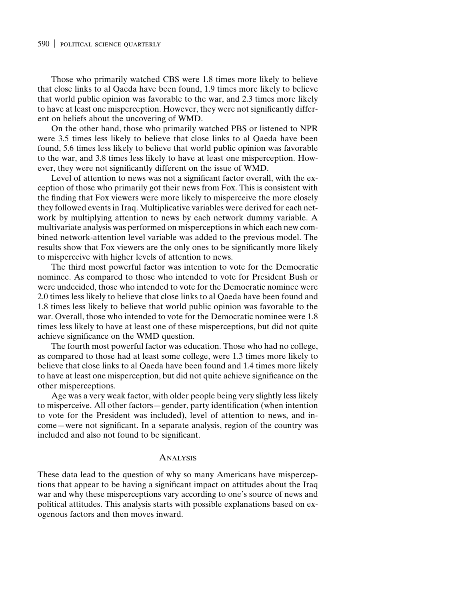Those who primarily watched CBS were 1.8 times more likely to believe that close links to al Qaeda have been found, 1.9 times more likely to believe that world public opinion was favorable to the war, and 2.3 times more likely to have at least one misperception. However, they were not significantly different on beliefs about the uncovering of WMD.

On the other hand, those who primarily watched PBS or listened to NPR were 3.5 times less likely to believe that close links to al Qaeda have been found, 5.6 times less likely to believe that world public opinion was favorable to the war, and 3.8 times less likely to have at least one misperception. However, they were not significantly different on the issue of WMD.

Level of attention to news was not a significant factor overall, with the exception of those who primarily got their news from Fox. This is consistent with the finding that Fox viewers were more likely to misperceive the more closely they followed events in Iraq. Multiplicative variables were derived for each network by multiplying attention to news by each network dummy variable. A multivariate analysis was performed on misperceptions in which each new combined network-attention level variable was added to the previous model. The results show that Fox viewers are the only ones to be significantly more likely to misperceive with higher levels of attention to news.

The third most powerful factor was intention to vote for the Democratic nominee. As compared to those who intended to vote for President Bush or were undecided, those who intended to vote for the Democratic nominee were 2.0 times less likely to believe that close links to al Qaeda have been found and 1.8 times less likely to believe that world public opinion was favorable to the war. Overall, those who intended to vote for the Democratic nominee were 1.8 times less likely to have at least one of these misperceptions, but did not quite achieve significance on the WMD question.

The fourth most powerful factor was education. Those who had no college, as compared to those had at least some college, were 1.3 times more likely to believe that close links to al Qaeda have been found and 1.4 times more likely to have at least one misperception, but did not quite achieve significance on the other misperceptions.

Age was a very weak factor, with older people being very slightly less likely to misperceive. All other factors—gender, party identification (when intention to vote for the President was included), level of attention to news, and income—were not significant. In a separate analysis, region of the country was included and also not found to be significant.

#### Analysis

These data lead to the question of why so many Americans have misperceptions that appear to be having a significant impact on attitudes about the Iraq war and why these misperceptions vary according to one's source of news and political attitudes. This analysis starts with possible explanations based on exogenous factors and then moves inward.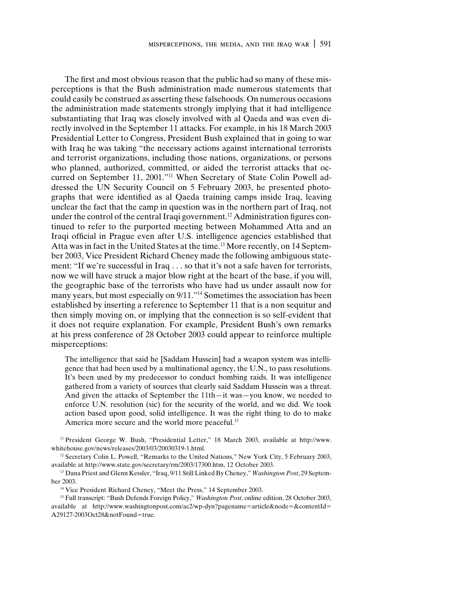The first and most obvious reason that the public had so many of these misperceptions is that the Bush administration made numerous statements that could easily be construed as asserting these falsehoods. On numerous occasions the administration made statements strongly implying that it had intelligence substantiating that Iraq was closely involved with al Qaeda and was even directly involved in the September 11 attacks. For example, in his 18 March 2003 Presidential Letter to Congress, President Bush explained that in going to war with Iraq he was taking "the necessary actions against international terrorists and terrorist organizations, including those nations, organizations, or persons who planned, authorized, committed, or aided the terrorist attacks that occurred on September 11, 2001."<sup>11</sup> When Secretary of State Colin Powell addressed the UN Security Council on 5 February 2003, he presented photographs that were identified as al Qaeda training camps inside Iraq, leaving unclear the fact that the camp in question was in the northern part of Iraq, not under the control of the central Iraqi government.<sup>12</sup> Administration figures continued to refer to the purported meeting between Mohammed Atta and an Iraqi official in Prague even after U.S. intelligence agencies established that Atta was in fact in the United States at the time.<sup>13</sup> More recently, on 14 September 2003, Vice President Richard Cheney made the following ambiguous statement: "If we're successful in Iraq . . . so that it's not a safe haven for terrorists, now we will have struck a major blow right at the heart of the base, if you will, the geographic base of the terrorists who have had us under assault now for many years, but most especially on 9/11."14 Sometimes the association has been established by inserting a reference to September 11 that is a non sequitur and then simply moving on, or implying that the connection is so self-evident that it does not require explanation. For example, President Bush's own remarks at his press conference of 28 October 2003 could appear to reinforce multiple misperceptions:

The intelligence that said he [Saddam Hussein] had a weapon system was intelligence that had been used by a multinational agency, the U.N., to pass resolutions. It's been used by my predecessor to conduct bombing raids. It was intelligence gathered from a variety of sources that clearly said Saddam Hussein was a threat. And given the attacks of September the 11th—it was—you know, we needed to enforce U.N. resolution (sic) for the security of the world, and we did. We took action based upon good, solid intelligence. It was the right thing to do to make America more secure and the world more peaceful.<sup>15</sup>

<sup>11</sup> President George W. Bush, "Presidential Letter," 18 March 2003, available at http://www. whitehouse.gov/news/releases/2003/03/20030319-1.html.

<sup>&</sup>lt;sup>12</sup> Secretary Colin L. Powell, "Remarks to the United Nations," New York City, 5 February 2003, available at http://www.state.gov/secretary/rm/2003/17300.htm, 12 October 2003.

<sup>13</sup> Dana Priest and Glenn Kessler, "Iraq, 9/11 Still Linked By Cheney," *Washington Post*, 29 September 2003.

<sup>&</sup>lt;sup>14</sup> Vice President Richard Cheney, "Meet the Press," 14 September 2003.

<sup>15</sup> Full transcript: "Bush Defends Foreign Policy," *Washington Post*, online edition, 28 October 2003, available at http://www.washingtonpost.com/ac2/wp-dyn?pagename=article&node=&contentId= A29127-2003Oct28&notFound=true.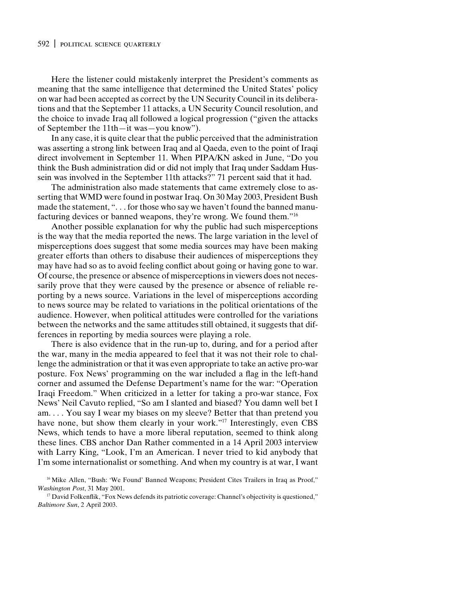Here the listener could mistakenly interpret the President's comments as meaning that the same intelligence that determined the United States' policy on war had been accepted as correct by the UN Security Council in its deliberations and that the September 11 attacks, a UN Security Council resolution, and the choice to invade Iraq all followed a logical progression ("given the attacks of September the 11th—it was—you know").

In any case, it is quite clear that the public perceived that the administration was asserting a strong link between Iraq and al Qaeda, even to the point of Iraqi direct involvement in September 11. When PIPA/KN asked in June, "Do you think the Bush administration did or did not imply that Iraq under Saddam Hussein was involved in the September 11th attacks?" 71 percent said that it had.

The administration also made statements that came extremely close to asserting that WMD were found in postwar Iraq. On 30 May 2003, President Bush made the statement, ". . . for those who say we haven't found the banned manufacturing devices or banned weapons, they're wrong. We found them."16

Another possible explanation for why the public had such misperceptions is the way that the media reported the news. The large variation in the level of misperceptions does suggest that some media sources may have been making greater efforts than others to disabuse their audiences of misperceptions they may have had so as to avoid feeling conflict about going or having gone to war. Of course, the presence or absence of misperceptions in viewers does not necessarily prove that they were caused by the presence or absence of reliable reporting by a news source. Variations in the level of misperceptions according to news source may be related to variations in the political orientations of the audience. However, when political attitudes were controlled for the variations between the networks and the same attitudes still obtained, it suggests that differences in reporting by media sources were playing a role.

There is also evidence that in the run-up to, during, and for a period after the war, many in the media appeared to feel that it was not their role to challenge the administration or that it was even appropriate to take an active pro-war posture. Fox News' programming on the war included a flag in the left-hand corner and assumed the Defense Department's name for the war: "Operation Iraqi Freedom." When criticized in a letter for taking a pro-war stance, Fox News' Neil Cavuto replied, "So am I slanted and biased? You damn well bet I am. . . . You say I wear my biases on my sleeve? Better that than pretend you have none, but show them clearly in your work."<sup>17</sup> Interestingly, even CBS News, which tends to have a more liberal reputation, seemed to think along these lines. CBS anchor Dan Rather commented in a 14 April 2003 interview with Larry King, "Look, I'm an American. I never tried to kid anybody that I'm some internationalist or something. And when my country is at war, I want

<sup>&</sup>lt;sup>16</sup> Mike Allen, "Bush: 'We Found' Banned Weapons; President Cites Trailers in Iraq as Proof," *Washington Post*, 31 May 2001.

<sup>&</sup>lt;sup>17</sup> David Folkenflik, "Fox News defends its patriotic coverage: Channel's objectivity is questioned," *Baltimore Sun*, 2 April 2003.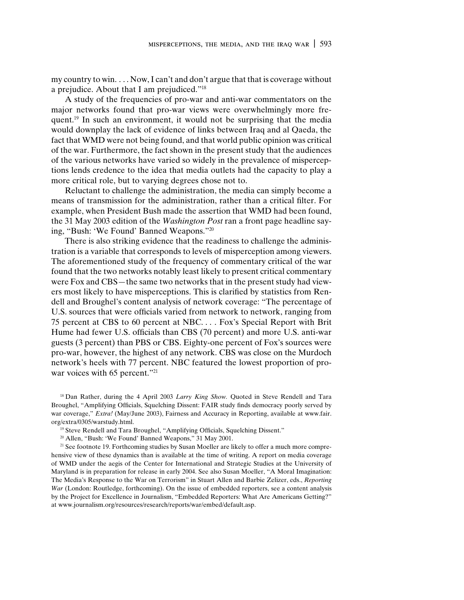my country to win. . . . Now, I can't and don't argue that that is coverage without a prejudice. About that I am prejudiced."18

A study of the frequencies of pro-war and anti-war commentators on the major networks found that pro-war views were overwhelmingly more frequent.<sup>19</sup> In such an environment, it would not be surprising that the media would downplay the lack of evidence of links between Iraq and al Qaeda, the fact that WMD were not being found, and that world public opinion was critical of the war. Furthermore, the fact shown in the present study that the audiences of the various networks have varied so widely in the prevalence of misperceptions lends credence to the idea that media outlets had the capacity to play a more critical role, but to varying degrees chose not to.

Reluctant to challenge the administration, the media can simply become a means of transmission for the administration, rather than a critical filter. For example, when President Bush made the assertion that WMD had been found, the 31 May 2003 edition of the *Washington Post* ran a front page headline saying, "Bush: 'We Found' Banned Weapons."20

There is also striking evidence that the readiness to challenge the administration is a variable that corresponds to levels of misperception among viewers. The aforementioned study of the frequency of commentary critical of the war found that the two networks notably least likely to present critical commentary were Fox and CBS—the same two networks that in the present study had viewers most likely to have misperceptions. This is clarified by statistics from Rendell and Broughel's content analysis of network coverage: "The percentage of U.S. sources that were officials varied from network to network, ranging from 75 percent at CBS to 60 percent at NBC. . . . Fox's Special Report with Brit Hume had fewer U.S. officials than CBS (70 percent) and more U.S. anti-war guests (3 percent) than PBS or CBS. Eighty-one percent of Fox's sources were pro-war, however, the highest of any network. CBS was close on the Murdoch network's heels with 77 percent. NBC featured the lowest proportion of prowar voices with 65 percent."<sup>21</sup>

<sup>18</sup> Dan Rather, during the 4 April 2003 *Larry King Show*. Quoted in Steve Rendell and Tara Broughel, "Amplifying Officials, Squelching Dissent: FAIR study finds democracy poorly served by war coverage," *Extra!* (May/June 2003), Fairness and Accuracy in Reporting, available at www.fair. org/extra/0305/warstudy.html.

<sup>19</sup> Steve Rendell and Tara Broughel, "Amplifying Officials, Squelching Dissent."

<sup>20</sup> Allen, "Bush: 'We Found' Banned Weapons," 31 May 2001.

<sup>21</sup> See footnote 19. Forthcoming studies by Susan Moeller are likely to offer a much more comprehensive view of these dynamics than is available at the time of writing. A report on media coverage of WMD under the aegis of the Center for International and Strategic Studies at the University of Maryland is in preparation for release in early 2004. See also Susan Moeller, "A Moral Imagination: The Media's Response to the War on Terrorism" in Stuart Allen and Barbie Zelizer, eds., *Reporting War* (London: Routledge, forthcoming). On the issue of embedded reporters, see a content analysis by the Project for Excellence in Journalism, "Embedded Reporters: What Are Americans Getting?" at www.journalism.org/resources/research/reports/war/embed/default.asp.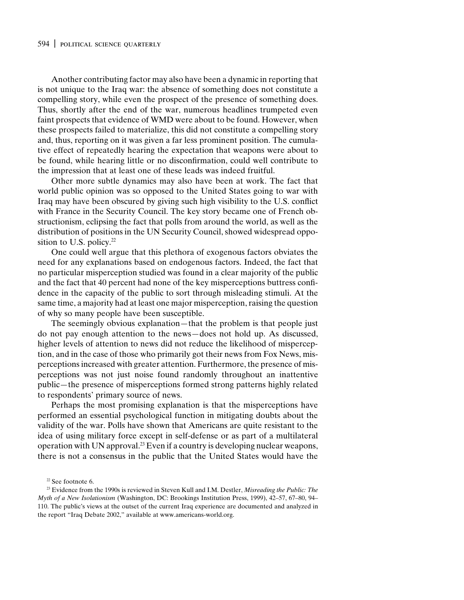Another contributing factor may also have been a dynamic in reporting that is not unique to the Iraq war: the absence of something does not constitute a compelling story, while even the prospect of the presence of something does. Thus, shortly after the end of the war, numerous headlines trumpeted even faint prospects that evidence of WMD were about to be found. However, when these prospects failed to materialize, this did not constitute a compelling story and, thus, reporting on it was given a far less prominent position. The cumulative effect of repeatedly hearing the expectation that weapons were about to be found, while hearing little or no disconfirmation, could well contribute to the impression that at least one of these leads was indeed fruitful.

Other more subtle dynamics may also have been at work. The fact that world public opinion was so opposed to the United States going to war with Iraq may have been obscured by giving such high visibility to the U.S. conflict with France in the Security Council. The key story became one of French obstructionism, eclipsing the fact that polls from around the world, as well as the distribution of positions in the UN Security Council, showed widespread opposition to U.S. policy. $22$ 

One could well argue that this plethora of exogenous factors obviates the need for any explanations based on endogenous factors. Indeed, the fact that no particular misperception studied was found in a clear majority of the public and the fact that 40 percent had none of the key misperceptions buttress confidence in the capacity of the public to sort through misleading stimuli. At the same time, a majority had at least one major misperception, raising the question of why so many people have been susceptible.

The seemingly obvious explanation—that the problem is that people just do not pay enough attention to the news—does not hold up. As discussed, higher levels of attention to news did not reduce the likelihood of misperception, and in the case of those who primarily got their news from Fox News, misperceptions increased with greater attention. Furthermore, the presence of misperceptions was not just noise found randomly throughout an inattentive public—the presence of misperceptions formed strong patterns highly related to respondents' primary source of news.

Perhaps the most promising explanation is that the misperceptions have performed an essential psychological function in mitigating doubts about the validity of the war. Polls have shown that Americans are quite resistant to the idea of using military force except in self-defense or as part of a multilateral operation with UN approval.23 Even if a country is developing nuclear weapons, there is not a consensus in the public that the United States would have the

<sup>22</sup> See footnote 6.

<sup>23</sup> Evidence from the 1990s is reviewed in Steven Kull and I.M. Destler, *Misreading the Public: The Myth of a New Isolationism* (Washington, DC: Brookings Institution Press, 1999), 42–57, 67–80, 94– 110. The public's views at the outset of the current Iraq experience are documented and analyzed in the report "Iraq Debate 2002," available at www.americans-world.org.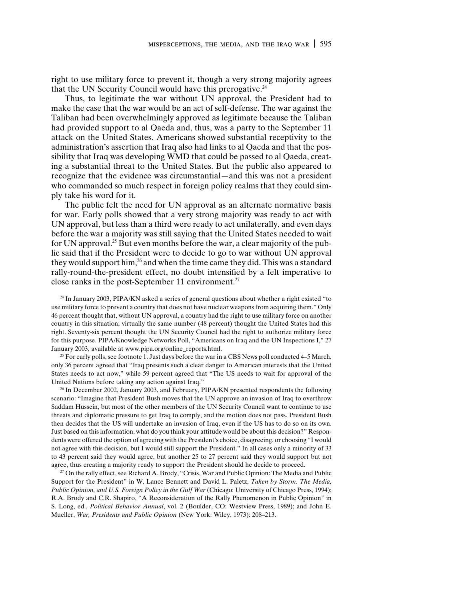right to use military force to prevent it, though a very strong majority agrees that the UN Security Council would have this prerogative.<sup>24</sup>

Thus, to legitimate the war without UN approval, the President had to make the case that the war would be an act of self-defense. The war against the Taliban had been overwhelmingly approved as legitimate because the Taliban had provided support to al Qaeda and, thus, was a party to the September 11 attack on the United States. Americans showed substantial receptivity to the administration's assertion that Iraq also had links to al Qaeda and that the possibility that Iraq was developing WMD that could be passed to al Qaeda, creating a substantial threat to the United States. But the public also appeared to recognize that the evidence was circumstantial—and this was not a president who commanded so much respect in foreign policy realms that they could simply take his word for it.

The public felt the need for UN approval as an alternate normative basis for war. Early polls showed that a very strong majority was ready to act with UN approval, but less than a third were ready to act unilaterally, and even days before the war a majority was still saying that the United States needed to wait for UN approval.<sup>25</sup> But even months before the war, a clear majority of the public said that if the President were to decide to go to war without UN approval they would support him,<sup>26</sup> and when the time came they did. This was a standard rally-round-the-president effect, no doubt intensified by a felt imperative to close ranks in the post-September 11 environment.27

<sup>24</sup> In January 2003, PIPA/KN asked a series of general questions about whether a right existed "to use military force to prevent a country that does not have nuclear weapons from acquiring them." Only 46 percent thought that, without UN approval, a country had the right to use military force on another country in this situation; virtually the same number (48 percent) thought the United States had this right. Seventy-six percent thought the UN Security Council had the right to authorize military force for this purpose. PIPA/Knowledge Networks Poll, "Americans on Iraq and the UN Inspections I," 27 January 2003, available at www.pipa.org/online\_reports.html.

<sup>25</sup> For early polls, see footnote 1. Just days before the war in a CBS News poll conducted  $4-5$  March, only 36 percent agreed that "Iraq presents such a clear danger to American interests that the United States needs to act now," while 59 percent agreed that "The US needs to wait for approval of the United Nations before taking any action against Iraq."

<sup>26</sup> In December 2002, January 2003, and February, PIPA/KN presented respondents the following scenario: "Imagine that President Bush moves that the UN approve an invasion of Iraq to overthrow Saddam Hussein, but most of the other members of the UN Security Council want to continue to use threats and diplomatic pressure to get Iraq to comply, and the motion does not pass. President Bush then decides that the US will undertake an invasion of Iraq, even if the US has to do so on its own. Just based on this information, what do you think your attitude would be about this decision?" Respondents were offered the option of agreeing with the President's choice, disagreeing, or choosing "I would not agree with this decision, but I would still support the President." In all cases only a minority of 33 to 43 percent said they would agree, but another 25 to 27 percent said they would support but not agree, thus creating a majority ready to support the President should he decide to proceed.

<sup>27</sup> On the rally effect, see Richard A. Brody, "Crisis, War and Public Opinion: The Media and Public Support for the President" in W. Lance Bennett and David L. Paletz, *Taken by Storm: The Media, Public Opinion, and U.S. Foreign Policy in the Gulf War* (Chicago: University of Chicago Press, 1994); R.A. Brody and C.R. Shapiro, "A Reconsideration of the Rally Phenomenon in Public Opinion" in S. Long, ed., *Political Behavior Annual*, vol. 2 (Boulder, CO: Westview Press, 1989); and John E. Mueller, *War, Presidents and Public Opinion* (New York: Wiley, 1973): 208–213.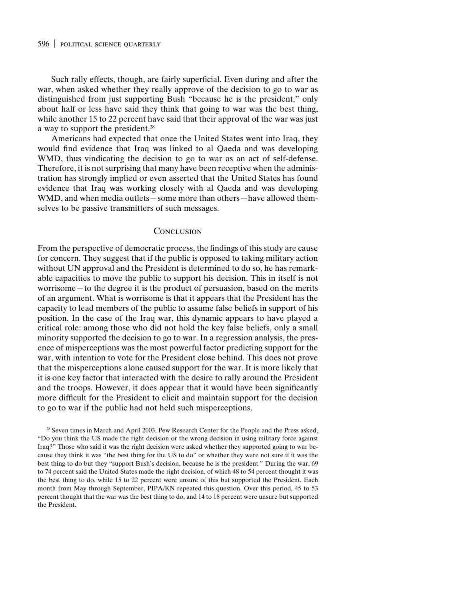Such rally effects, though, are fairly superficial. Even during and after the war, when asked whether they really approve of the decision to go to war as distinguished from just supporting Bush "because he is the president," only about half or less have said they think that going to war was the best thing, while another 15 to 22 percent have said that their approval of the war was just a way to support the president.<sup>28</sup>

Americans had expected that once the United States went into Iraq, they would find evidence that Iraq was linked to al Qaeda and was developing WMD, thus vindicating the decision to go to war as an act of self-defense. Therefore, it is not surprising that many have been receptive when the administration has strongly implied or even asserted that the United States has found evidence that Iraq was working closely with al Qaeda and was developing WMD, and when media outlets—some more than others—have allowed themselves to be passive transmitters of such messages.

#### **CONCLUSION**

From the perspective of democratic process, the findings of this study are cause for concern. They suggest that if the public is opposed to taking military action without UN approval and the President is determined to do so, he has remarkable capacities to move the public to support his decision. This in itself is not worrisome—to the degree it is the product of persuasion, based on the merits of an argument. What is worrisome is that it appears that the President has the capacity to lead members of the public to assume false beliefs in support of his position. In the case of the Iraq war, this dynamic appears to have played a critical role: among those who did not hold the key false beliefs, only a small minority supported the decision to go to war. In a regression analysis, the presence of misperceptions was the most powerful factor predicting support for the war, with intention to vote for the President close behind. This does not prove that the misperceptions alone caused support for the war. It is more likely that it is one key factor that interacted with the desire to rally around the President and the troops. However, it does appear that it would have been significantly more difficult for the President to elicit and maintain support for the decision to go to war if the public had not held such misperceptions.

<sup>28</sup> Seven times in March and April 2003, Pew Research Center for the People and the Press asked, "Do you think the US made the right decision or the wrong decision in using military force against Iraq?" Those who said it was the right decision were asked whether they supported going to war because they think it was "the best thing for the US to do" or whether they were not sure if it was the best thing to do but they "support Bush's decision, because he is the president." During the war, 69 to 74 percent said the United States made the right decision, of which 48 to 54 percent thought it was the best thing to do, while 15 to 22 percent were unsure of this but supported the President. Each month from May through September, PIPA/KN repeated this question. Over this period, 45 to 53 percent thought that the war was the best thing to do, and 14 to 18 percent were unsure but supported the President.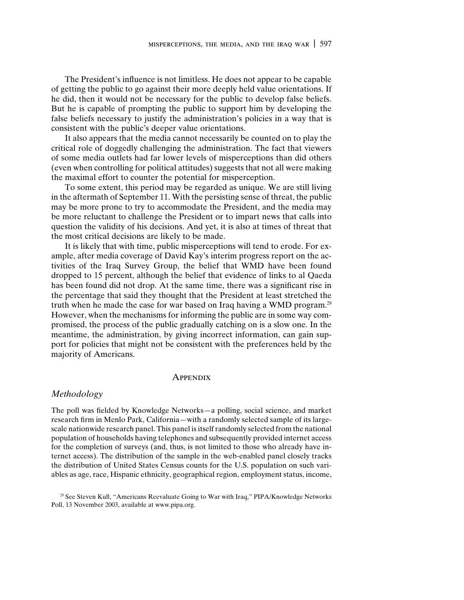The President's influence is not limitless. He does not appear to be capable of getting the public to go against their more deeply held value orientations. If he did, then it would not be necessary for the public to develop false beliefs. But he is capable of prompting the public to support him by developing the false beliefs necessary to justify the administration's policies in a way that is consistent with the public's deeper value orientations.

It also appears that the media cannot necessarily be counted on to play the critical role of doggedly challenging the administration. The fact that viewers of some media outlets had far lower levels of misperceptions than did others (even when controlling for political attitudes) suggests that not all were making the maximal effort to counter the potential for misperception.

To some extent, this period may be regarded as unique. We are still living in the aftermath of September 11. With the persisting sense of threat, the public may be more prone to try to accommodate the President, and the media may be more reluctant to challenge the President or to impart news that calls into question the validity of his decisions. And yet, it is also at times of threat that the most critical decisions are likely to be made.

It is likely that with time, public misperceptions will tend to erode. For example, after media coverage of David Kay's interim progress report on the activities of the Iraq Survey Group, the belief that WMD have been found dropped to 15 percent, although the belief that evidence of links to al Qaeda has been found did not drop. At the same time, there was a significant rise in the percentage that said they thought that the President at least stretched the truth when he made the case for war based on Iraq having a WMD program.<sup>29</sup> However, when the mechanisms for informing the public are in some way compromised, the process of the public gradually catching on is a slow one. In the meantime, the administration, by giving incorrect information, can gain support for policies that might not be consistent with the preferences held by the majority of Americans.

#### **APPENDIX**

#### *Methodology*

The poll was fielded by Knowledge Networks—a polling, social science, and market research firm in Menlo Park, California—with a randomly selected sample of its largescale nationwide research panel. This panel is itself randomly selected from the national population of households having telephones and subsequently provided internet access for the completion of surveys (and, thus, is not limited to those who already have internet access). The distribution of the sample in the web-enabled panel closely tracks the distribution of United States Census counts for the U.S. population on such variables as age, race, Hispanic ethnicity, geographical region, employment status, income,

<sup>29</sup> See Steven Kull, "Americans Reevaluate Going to War with Iraq," PIPA/Knowledge Networks Poll, 13 November 2003, available at www.pipa.org.